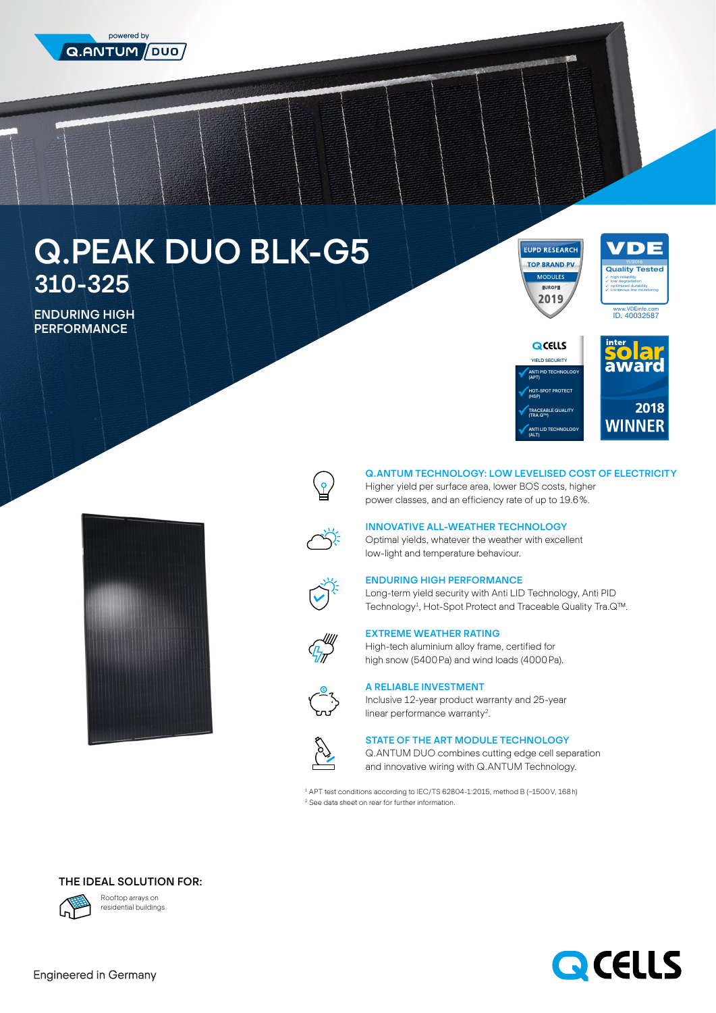

# Q.PEAK DUO BLK-G5 310-325

ENDURING HIGH **PERFORMANCE** 

**EUPD RESEARCH TOP BRAND PV** 2019









# Q.ANTUM TECHNOLOGY: LOW LEVELISED COST OF ELECTRICITY

Higher yield per surface area, lower BOS costs, higher power classes, and an efficiency rate of up to 19.6%.



# INNOVATIVE ALL-WEATHER TECHNOLOGY

Optimal yields, whatever the weather with excellent low-light and temperature behaviour.

#### ENDURING HIGH PERFORMANCE

Long-term yield security with Anti LID Technology, Anti PID Technology<sup>1</sup>, Hot-Spot Protect and Traceable Quality Tra.Q™.



## EXTREME WEATHER RATING

High-tech aluminium alloy frame, certified for high snow (5400Pa) and wind loads (4000Pa).



# A RELIABLE INVESTMENT

Inclusive 12-year product warranty and 25-year linear performance warranty<sup>2</sup>.



## STATE OF THE ART MODULE TECHNOLOGY

Q.ANTUM DUO combines cutting edge cell separation and innovative wiring with Q.ANTUM Technology.

1 APT test conditions according to IEC/TS 62804-1:2015, method B (−1500V, 168h) 2 See data sheet on rear for further information.

# THE IDEAL SOLUTION FOR:



Rooftop arrays on residential buildings